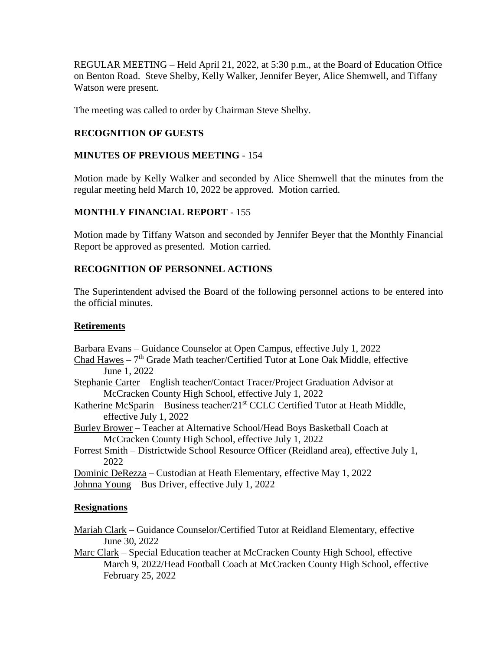REGULAR MEETING – Held April 21, 2022, at 5:30 p.m., at the Board of Education Office on Benton Road. Steve Shelby, Kelly Walker, Jennifer Beyer, Alice Shemwell, and Tiffany Watson were present.

The meeting was called to order by Chairman Steve Shelby.

# **RECOGNITION OF GUESTS**

# **MINUTES OF PREVIOUS MEETING** - 154

Motion made by Kelly Walker and seconded by Alice Shemwell that the minutes from the regular meeting held March 10, 2022 be approved. Motion carried.

# **MONTHLY FINANCIAL REPORT** - 155

Motion made by Tiffany Watson and seconded by Jennifer Beyer that the Monthly Financial Report be approved as presented. Motion carried.

# **RECOGNITION OF PERSONNEL ACTIONS**

The Superintendent advised the Board of the following personnel actions to be entered into the official minutes.

# **Retirements**

Barbara Evans – Guidance Counselor at Open Campus, effective July 1, 2022

- $Chad$  Hawes  $-7<sup>th</sup>$  Grade Math teacher/Certified Tutor at Lone Oak Middle, effective June 1, 2022
- Stephanie Carter English teacher/Contact Tracer/Project Graduation Advisor at McCracken County High School, effective July 1, 2022
- Katherine McSparin Business teacher/21<sup>st</sup> CCLC Certified Tutor at Heath Middle, effective July 1, 2022

Burley Brower – Teacher at Alternative School/Head Boys Basketball Coach at McCracken County High School, effective July 1, 2022

Forrest Smith – Districtwide School Resource Officer (Reidland area), effective July 1, 2022

Dominic DeRezza – Custodian at Heath Elementary, effective May 1, 2022 Johnna Young – Bus Driver, effective July 1, 2022

# **Resignations**

Mariah Clark – Guidance Counselor/Certified Tutor at Reidland Elementary, effective June 30, 2022

Marc Clark – Special Education teacher at McCracken County High School, effective March 9, 2022/Head Football Coach at McCracken County High School, effective February 25, 2022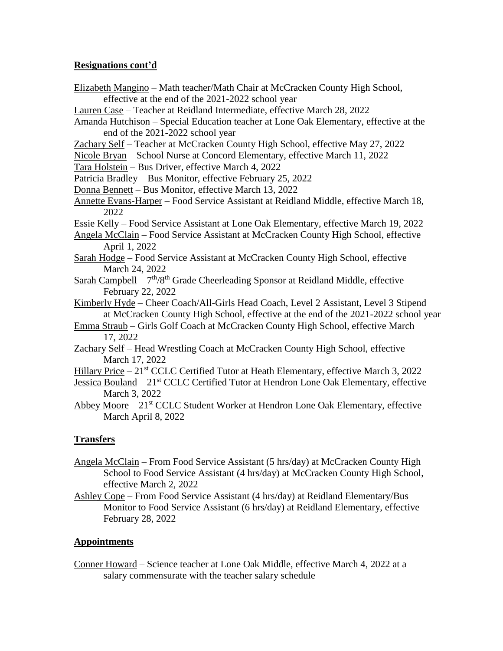# **Resignations cont'd**

- Elizabeth Mangino Math teacher/Math Chair at McCracken County High School, effective at the end of the 2021-2022 school year
- Lauren Case Teacher at Reidland Intermediate, effective March 28, 2022
- Amanda Hutchison Special Education teacher at Lone Oak Elementary, effective at the end of the 2021-2022 school year
- Zachary Self Teacher at McCracken County High School, effective May 27, 2022
- Nicole Bryan School Nurse at Concord Elementary, effective March 11, 2022

Tara Holstein – Bus Driver, effective March 4, 2022

- Patricia Bradley Bus Monitor, effective February 25, 2022
- Donna Bennett Bus Monitor, effective March 13, 2022
- Annette Evans-Harper Food Service Assistant at Reidland Middle, effective March 18, 2022
- Essie Kelly Food Service Assistant at Lone Oak Elementary, effective March 19, 2022
- Angela McClain Food Service Assistant at McCracken County High School, effective April 1, 2022
- Sarah Hodge Food Service Assistant at McCracken County High School, effective March 24, 2022
- Sarah Campbell 7<sup>th</sup>/8<sup>th</sup> Grade Cheerleading Sponsor at Reidland Middle, effective February 22, 2022
- Kimberly Hyde Cheer Coach/All-Girls Head Coach, Level 2 Assistant, Level 3 Stipend at McCracken County High School, effective at the end of the 2021-2022 school year
- Emma Straub Girls Golf Coach at McCracken County High School, effective March 17, 2022
- Zachary Self Head Wrestling Coach at McCracken County High School, effective March 17, 2022
- Hillary Price  $-21<sup>st</sup>$  CCLC Certified Tutor at Heath Elementary, effective March 3, 2022
- Jessica Bouland 21<sup>st</sup> CCLC Certified Tutor at Hendron Lone Oak Elementary, effective March 3, 2022
- Abbey Moore  $-21<sup>st</sup> CCLC$  Student Worker at Hendron Lone Oak Elementary, effective March April 8, 2022

# **Transfers**

- Angela McClain From Food Service Assistant (5 hrs/day) at McCracken County High School to Food Service Assistant (4 hrs/day) at McCracken County High School, effective March 2, 2022
- Ashley Cope From Food Service Assistant (4 hrs/day) at Reidland Elementary/Bus Monitor to Food Service Assistant (6 hrs/day) at Reidland Elementary, effective February 28, 2022

### **Appointments**

Conner Howard – Science teacher at Lone Oak Middle, effective March 4, 2022 at a salary commensurate with the teacher salary schedule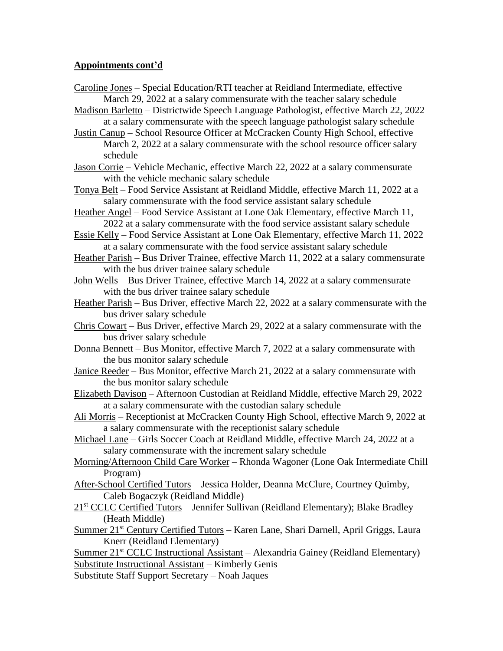## **Appointments cont'd**

- Caroline Jones Special Education/RTI teacher at Reidland Intermediate, effective March 29, 2022 at a salary commensurate with the teacher salary schedule
- Madison Barletto Districtwide Speech Language Pathologist, effective March 22, 2022 at a salary commensurate with the speech language pathologist salary schedule
- Justin Canup School Resource Officer at McCracken County High School, effective March 2, 2022 at a salary commensurate with the school resource officer salary schedule
- Jason Corrie Vehicle Mechanic, effective March 22, 2022 at a salary commensurate with the vehicle mechanic salary schedule
- Tonya Belt Food Service Assistant at Reidland Middle, effective March 11, 2022 at a salary commensurate with the food service assistant salary schedule
- Heather Angel Food Service Assistant at Lone Oak Elementary, effective March 11, 2022 at a salary commensurate with the food service assistant salary schedule
- Essie Kelly Food Service Assistant at Lone Oak Elementary, effective March 11, 2022 at a salary commensurate with the food service assistant salary schedule
- Heather Parish Bus Driver Trainee, effective March 11, 2022 at a salary commensurate with the bus driver trainee salary schedule
- John Wells Bus Driver Trainee, effective March 14, 2022 at a salary commensurate with the bus driver trainee salary schedule
- Heather Parish Bus Driver, effective March 22, 2022 at a salary commensurate with the bus driver salary schedule
- Chris Cowart Bus Driver, effective March 29, 2022 at a salary commensurate with the bus driver salary schedule
- Donna Bennett Bus Monitor, effective March 7, 2022 at a salary commensurate with the bus monitor salary schedule
- Janice Reeder Bus Monitor, effective March 21, 2022 at a salary commensurate with the bus monitor salary schedule
- Elizabeth Davison Afternoon Custodian at Reidland Middle, effective March 29, 2022 at a salary commensurate with the custodian salary schedule
- Ali Morris Receptionist at McCracken County High School, effective March 9, 2022 at a salary commensurate with the receptionist salary schedule
- Michael Lane Girls Soccer Coach at Reidland Middle, effective March 24, 2022 at a salary commensurate with the increment salary schedule
- Morning/Afternoon Child Care Worker Rhonda Wagoner (Lone Oak Intermediate Chill Program)
- After-School Certified Tutors Jessica Holder, Deanna McClure, Courtney Quimby, Caleb Bogaczyk (Reidland Middle)
- 21<sup>st</sup> CCLC Certified Tutors Jennifer Sullivan (Reidland Elementary); Blake Bradley (Heath Middle)
- Summer 21<sup>st</sup> Century Certified Tutors Karen Lane, Shari Darnell, April Griggs, Laura Knerr (Reidland Elementary)

Summer 21<sup>st</sup> CCLC Instructional Assistant – Alexandria Gainey (Reidland Elementary) Substitute Instructional Assistant – Kimberly Genis

Substitute Staff Support Secretary – Noah Jaques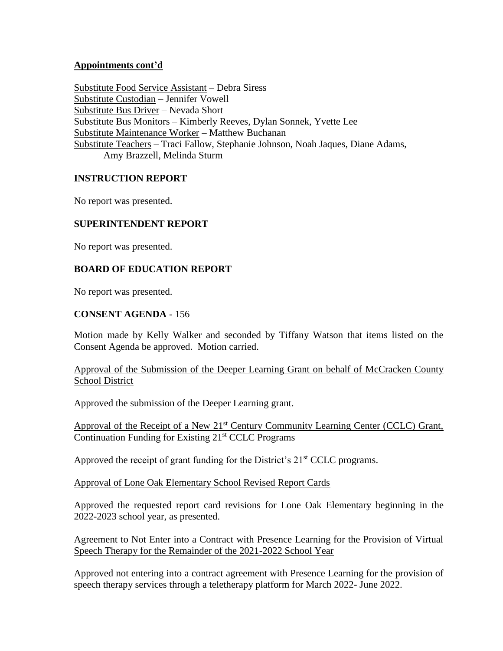## **Appointments cont'd**

Substitute Food Service Assistant – Debra Siress Substitute Custodian – Jennifer Vowell Substitute Bus Driver – Nevada Short Substitute Bus Monitors – Kimberly Reeves, Dylan Sonnek, Yvette Lee Substitute Maintenance Worker – Matthew Buchanan Substitute Teachers – Traci Fallow, Stephanie Johnson, Noah Jaques, Diane Adams, Amy Brazzell, Melinda Sturm

## **INSTRUCTION REPORT**

No report was presented.

## **SUPERINTENDENT REPORT**

No report was presented.

## **BOARD OF EDUCATION REPORT**

No report was presented.

### **CONSENT AGENDA** - 156

Motion made by Kelly Walker and seconded by Tiffany Watson that items listed on the Consent Agenda be approved. Motion carried.

Approval of the Submission of the Deeper Learning Grant on behalf of McCracken County School District

Approved the submission of the Deeper Learning grant.

Approval of the Receipt of a New 21<sup>st</sup> Century Community Learning Center (CCLC) Grant, Continuation Funding for Existing  $21<sup>st</sup>$  CCLC Programs

Approved the receipt of grant funding for the District's  $21<sup>st</sup> CCLC$  programs.

Approval of Lone Oak Elementary School Revised Report Cards

Approved the requested report card revisions for Lone Oak Elementary beginning in the 2022-2023 school year, as presented.

Agreement to Not Enter into a Contract with Presence Learning for the Provision of Virtual Speech Therapy for the Remainder of the 2021-2022 School Year

Approved not entering into a contract agreement with Presence Learning for the provision of speech therapy services through a teletherapy platform for March 2022- June 2022.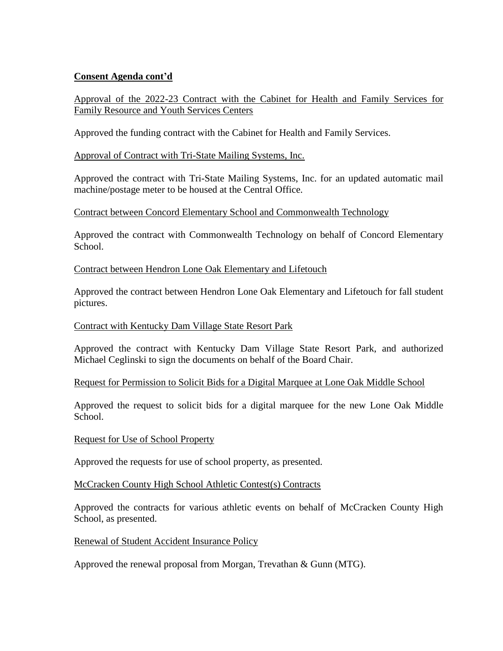## **Consent Agenda cont'd**

Approval of the 2022-23 Contract with the Cabinet for Health and Family Services for Family Resource and Youth Services Centers

Approved the funding contract with the Cabinet for Health and Family Services.

## Approval of Contract with Tri-State Mailing Systems, Inc.

Approved the contract with Tri-State Mailing Systems, Inc. for an updated automatic mail machine/postage meter to be housed at the Central Office.

### Contract between Concord Elementary School and Commonwealth Technology

Approved the contract with Commonwealth Technology on behalf of Concord Elementary School.

### Contract between Hendron Lone Oak Elementary and Lifetouch

Approved the contract between Hendron Lone Oak Elementary and Lifetouch for fall student pictures.

### Contract with Kentucky Dam Village State Resort Park

Approved the contract with Kentucky Dam Village State Resort Park, and authorized Michael Ceglinski to sign the documents on behalf of the Board Chair.

### Request for Permission to Solicit Bids for a Digital Marquee at Lone Oak Middle School

Approved the request to solicit bids for a digital marquee for the new Lone Oak Middle School.

### Request for Use of School Property

Approved the requests for use of school property, as presented.

### McCracken County High School Athletic Contest(s) Contracts

Approved the contracts for various athletic events on behalf of McCracken County High School, as presented.

### Renewal of Student Accident Insurance Policy

Approved the renewal proposal from Morgan, Trevathan & Gunn (MTG).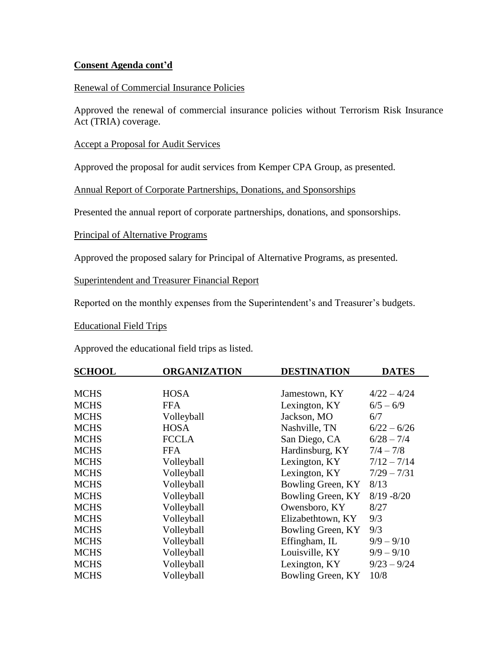## **Consent Agenda cont'd**

## Renewal of Commercial Insurance Policies

Approved the renewal of commercial insurance policies without Terrorism Risk Insurance Act (TRIA) coverage.

Accept a Proposal for Audit Services

Approved the proposal for audit services from Kemper CPA Group, as presented.

Annual Report of Corporate Partnerships, Donations, and Sponsorships

Presented the annual report of corporate partnerships, donations, and sponsorships.

Principal of Alternative Programs

Approved the proposed salary for Principal of Alternative Programs, as presented.

Superintendent and Treasurer Financial Report

Reported on the monthly expenses from the Superintendent's and Treasurer's budgets.

Educational Field Trips

Approved the educational field trips as listed.

| <b>SCHOOL</b> | <b>ORGANIZATION</b> | <b>DESTINATION</b> | <b>DATES</b>  |
|---------------|---------------------|--------------------|---------------|
|               |                     |                    |               |
| <b>MCHS</b>   | <b>HOSA</b>         | Jamestown, KY      | $4/22 - 4/24$ |
| <b>MCHS</b>   | <b>FFA</b>          | Lexington, KY      | $6/5 - 6/9$   |
| <b>MCHS</b>   | Volleyball          | Jackson, MO        | 6/7           |
| <b>MCHS</b>   | <b>HOSA</b>         | Nashville, TN      | $6/22 - 6/26$ |
| <b>MCHS</b>   | <b>FCCLA</b>        | San Diego, CA      | $6/28 - 7/4$  |
| <b>MCHS</b>   | <b>FFA</b>          | Hardinsburg, KY    | $7/4 - 7/8$   |
| <b>MCHS</b>   | Volleyball          | Lexington, KY      | $7/12 - 7/14$ |
| <b>MCHS</b>   | Volleyball          | Lexington, KY      | $7/29 - 7/31$ |
| <b>MCHS</b>   | Volleyball          | Bowling Green, KY  | 8/13          |
| <b>MCHS</b>   | Volleyball          | Bowling Green, KY  | $8/19 - 8/20$ |
| <b>MCHS</b>   | Volleyball          | Owensboro, KY      | 8/27          |
| <b>MCHS</b>   | Volleyball          | Elizabethtown, KY  | 9/3           |
| <b>MCHS</b>   | Volleyball          | Bowling Green, KY  | 9/3           |
| <b>MCHS</b>   | Volleyball          | Effingham, IL      | $9/9 - 9/10$  |
| <b>MCHS</b>   | Volleyball          | Louisville, KY     | $9/9 - 9/10$  |
| <b>MCHS</b>   | Volleyball          | Lexington, KY      | $9/23 - 9/24$ |
| <b>MCHS</b>   | Volleyball          | Bowling Green, KY  | 10/8          |
|               |                     |                    |               |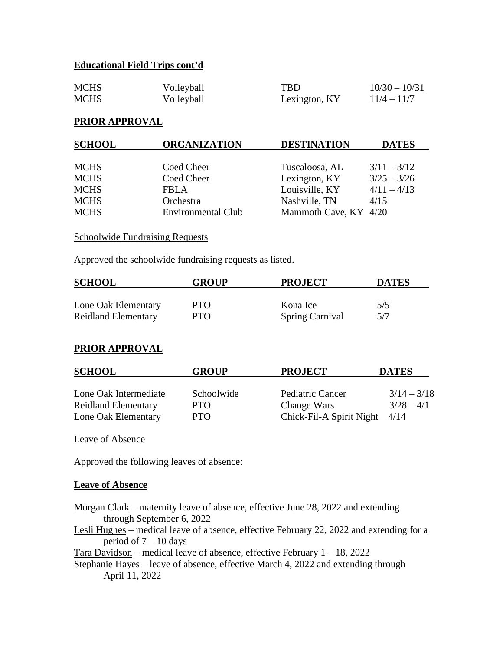## **Educational Field Trips cont'd**

| <b>MCHS</b> | Volleyball | <b>TBD</b>    | $10/30 - 10/31$ |
|-------------|------------|---------------|-----------------|
| <b>MCHS</b> | Volleyball | Lexington, KY | $11/4 - 11/7$   |

### **PRIOR APPROVAL**

| <b>SCHOOL</b> | <b>ORGANIZATION</b>       | <b>DESTINATION</b>    | <b>DATES</b>  |
|---------------|---------------------------|-----------------------|---------------|
| <b>MCHS</b>   | Coed Cheer                | Tuscaloosa, AL        | $3/11 - 3/12$ |
| <b>MCHS</b>   | Coed Cheer                | Lexington, KY         | $3/25 - 3/26$ |
| <b>MCHS</b>   | <b>FBLA</b>               | Louisville, KY        | $4/11 - 4/13$ |
| <b>MCHS</b>   | Orchestra                 | Nashville, TN         | 4/15          |
| <b>MCHS</b>   | <b>Environmental Club</b> | Mammoth Cave, KY 4/20 |               |

### **Schoolwide Fundraising Requests**

Approved the schoolwide fundraising requests as listed.

| <b>SCHOOL</b>              | <b>GROUP</b> | <b>PROJECT</b>         | <b>DATES</b> |
|----------------------------|--------------|------------------------|--------------|
|                            |              |                        |              |
| Lone Oak Elementary        | <b>PTO</b>   | Kona Ice               | 5/5          |
| <b>Reidland Elementary</b> | PTO.         | <b>Spring Carnival</b> | 5/7          |

# **PRIOR APPROVAL**

| <b>SCHOOL</b>              | GROUP      | <b>PROJECT</b>                  | <b>DATES</b>  |
|----------------------------|------------|---------------------------------|---------------|
| Lone Oak Intermediate      | Schoolwide | Pediatric Cancer                | $3/14 - 3/18$ |
| <b>Reidland Elementary</b> | PTO        | Change Wars                     | $3/28 - 4/1$  |
| Lone Oak Elementary        | <b>PTO</b> | Chick-Fil-A Spirit Night $4/14$ |               |

Leave of Absence

Approved the following leaves of absence:

#### **Leave of Absence**

- Morgan Clark maternity leave of absence, effective June 28, 2022 and extending through September 6, 2022
- Lesli Hughes medical leave of absence, effective February 22, 2022 and extending for a period of  $7 - 10$  days

Tara Davidson – medical leave of absence, effective February  $1 - 18$ , 2022

Stephanie Hayes – leave of absence, effective March 4, 2022 and extending through April 11, 2022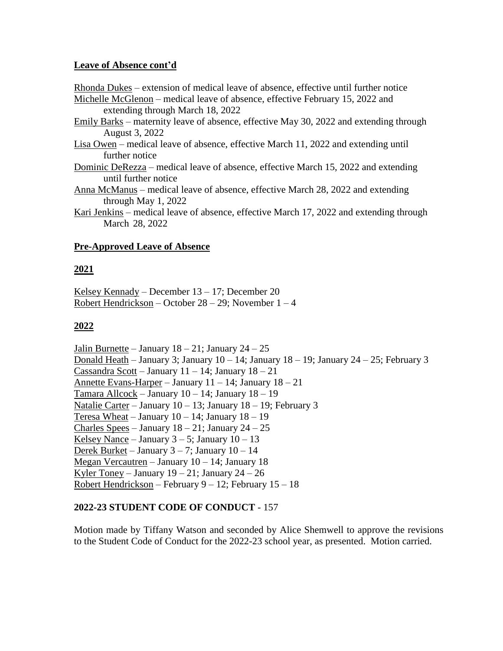## **Leave of Absence cont'd**

Rhonda Dukes – extension of medical leave of absence, effective until further notice Michelle McGlenon – medical leave of absence, effective February 15, 2022 and

extending through March 18, 2022

- Emily Barks maternity leave of absence, effective May 30, 2022 and extending through August 3, 2022
- Lisa Owen medical leave of absence, effective March 11, 2022 and extending until further notice
- Dominic DeRezza medical leave of absence, effective March 15, 2022 and extending until further notice
- Anna McManus medical leave of absence, effective March 28, 2022 and extending through May 1, 2022
- Kari Jenkins medical leave of absence, effective March 17, 2022 and extending through March 28, 2022

## **Pre-Approved Leave of Absence**

# **2021**

Kelsey Kennady – December 13 – 17; December 20 Robert Hendrickson – October  $28 - 29$ ; November  $1 - 4$ 

# **2022**

Jalin Burnette – January  $18 - 21$ ; January  $24 - 25$ Donald Heath – January 3; January  $10 - 14$ ; January  $18 - 19$ ; January  $24 - 25$ ; February 3 Cassandra Scott – January  $11 - 14$ ; January  $18 - 21$ Annette Evans-Harper – January 11 – 14; January 18 – 21 Tamara Allcock – January 10 – 14; January 18 – 19 Natalie Carter – January 10 – 13; January 18 – 19; February 3 Teresa Wheat – January  $10 - 14$ ; January  $18 - 19$ Charles Spees – January  $18 - 21$ ; January  $24 - 25$ Kelsey Nance – January  $3 - 5$ ; January  $10 - 13$ Derek Burket – January 3 – 7; January 10 – 14 Megan Vercautren – January 10 – 14; January 18 Kyler Toney – January  $19 - 21$ ; January  $24 - 26$ Robert Hendrickson – February  $9 - 12$ ; February  $15 - 18$ 

# **2022-23 STUDENT CODE OF CONDUCT** - 157

Motion made by Tiffany Watson and seconded by Alice Shemwell to approve the revisions to the Student Code of Conduct for the 2022-23 school year, as presented. Motion carried.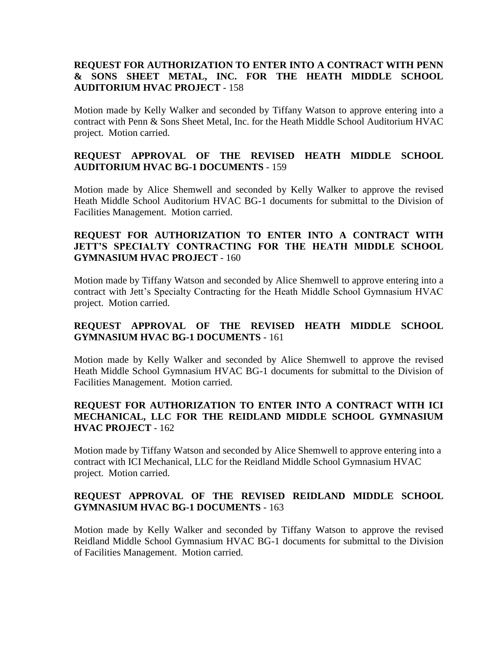## **REQUEST FOR AUTHORIZATION TO ENTER INTO A CONTRACT WITH PENN & SONS SHEET METAL, INC. FOR THE HEATH MIDDLE SCHOOL AUDITORIUM HVAC PROJECT** - 158

Motion made by Kelly Walker and seconded by Tiffany Watson to approve entering into a contract with Penn & Sons Sheet Metal, Inc. for the Heath Middle School Auditorium HVAC project. Motion carried.

## **REQUEST APPROVAL OF THE REVISED HEATH MIDDLE SCHOOL AUDITORIUM HVAC BG-1 DOCUMENTS** - 159

Motion made by Alice Shemwell and seconded by Kelly Walker to approve the revised Heath Middle School Auditorium HVAC BG-1 documents for submittal to the Division of Facilities Management. Motion carried.

## **REQUEST FOR AUTHORIZATION TO ENTER INTO A CONTRACT WITH JETT'S SPECIALTY CONTRACTING FOR THE HEATH MIDDLE SCHOOL GYMNASIUM HVAC PROJECT** - 160

Motion made by Tiffany Watson and seconded by Alice Shemwell to approve entering into a contract with Jett's Specialty Contracting for the Heath Middle School Gymnasium HVAC project. Motion carried.

# **REQUEST APPROVAL OF THE REVISED HEATH MIDDLE SCHOOL GYMNASIUM HVAC BG-1 DOCUMENTS** - 161

Motion made by Kelly Walker and seconded by Alice Shemwell to approve the revised Heath Middle School Gymnasium HVAC BG-1 documents for submittal to the Division of Facilities Management. Motion carried.

## **REQUEST FOR AUTHORIZATION TO ENTER INTO A CONTRACT WITH ICI MECHANICAL, LLC FOR THE REIDLAND MIDDLE SCHOOL GYMNASIUM HVAC PROJECT** - 162

Motion made by Tiffany Watson and seconded by Alice Shemwell to approve entering into a contract with ICI Mechanical, LLC for the Reidland Middle School Gymnasium HVAC project. Motion carried.

# **REQUEST APPROVAL OF THE REVISED REIDLAND MIDDLE SCHOOL GYMNASIUM HVAC BG-1 DOCUMENTS** - 163

Motion made by Kelly Walker and seconded by Tiffany Watson to approve the revised Reidland Middle School Gymnasium HVAC BG-1 documents for submittal to the Division of Facilities Management. Motion carried.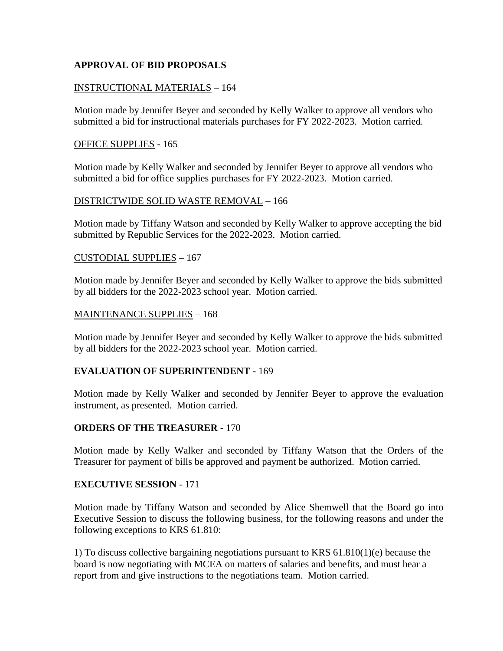# **APPROVAL OF BID PROPOSALS**

#### INSTRUCTIONAL MATERIALS – 164

Motion made by Jennifer Beyer and seconded by Kelly Walker to approve all vendors who submitted a bid for instructional materials purchases for FY 2022-2023. Motion carried.

#### OFFICE SUPPLIES - 165

Motion made by Kelly Walker and seconded by Jennifer Beyer to approve all vendors who submitted a bid for office supplies purchases for FY 2022-2023. Motion carried.

#### DISTRICTWIDE SOLID WASTE REMOVAL – 166

Motion made by Tiffany Watson and seconded by Kelly Walker to approve accepting the bid submitted by Republic Services for the 2022-2023. Motion carried.

#### CUSTODIAL SUPPLIES – 167

Motion made by Jennifer Beyer and seconded by Kelly Walker to approve the bids submitted by all bidders for the 2022-2023 school year. Motion carried.

#### MAINTENANCE SUPPLIES – 168

Motion made by Jennifer Beyer and seconded by Kelly Walker to approve the bids submitted by all bidders for the 2022-2023 school year. Motion carried.

### **EVALUATION OF SUPERINTENDENT** - 169

Motion made by Kelly Walker and seconded by Jennifer Beyer to approve the evaluation instrument, as presented. Motion carried.

### **ORDERS OF THE TREASURER** - 170

Motion made by Kelly Walker and seconded by Tiffany Watson that the Orders of the Treasurer for payment of bills be approved and payment be authorized. Motion carried.

#### **EXECUTIVE SESSION** - 171

Motion made by Tiffany Watson and seconded by Alice Shemwell that the Board go into Executive Session to discuss the following business, for the following reasons and under the following exceptions to KRS 61.810:

1) To discuss collective bargaining negotiations pursuant to KRS 61.810(1)(e) because the board is now negotiating with MCEA on matters of salaries and benefits, and must hear a report from and give instructions to the negotiations team. Motion carried.